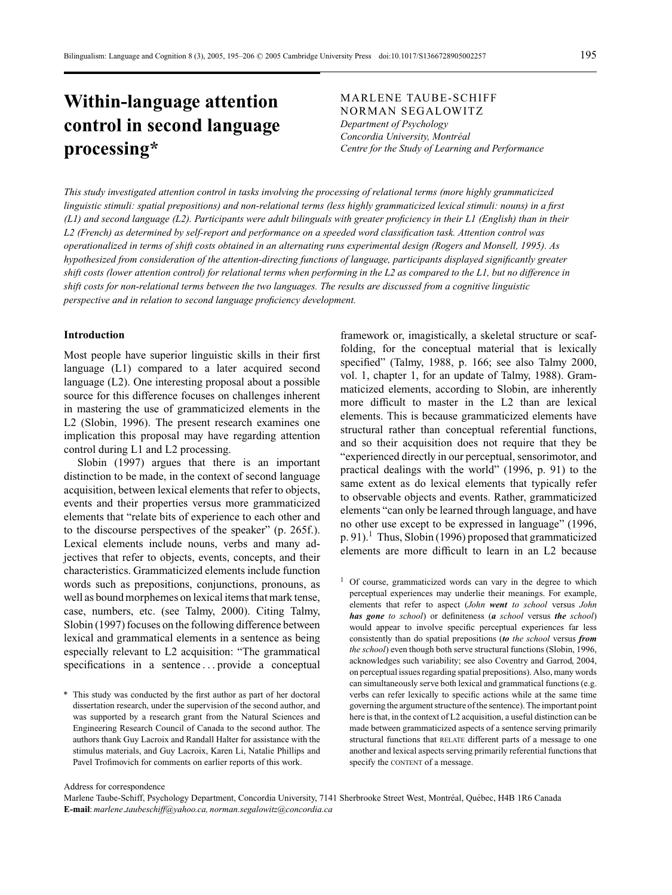# **Within-language attention control in second language processing\***

# MARLENE TAUBE-SCHIFF NORMAN SEGALOWITZ *Department of Psychology Concordia University, Montreal ´ Centre for the Study of Learning and Performance*

*This study investigated attention control in tasks involving the processing of relational terms (more highly grammaticized linguistic stimuli: spatial prepositions) and non-relational terms (less highly grammaticized lexical stimuli: nouns) in a first (L1) and second language (L2). Participants were adult bilinguals with greater proficiency in their L1 (English) than in their L2 (French) as determined by self-report and performance on a speeded word classification task. Attention control was operationalized in terms of shift costs obtained in an alternating runs experimental design (Rogers and Monsell, 1995). As hypothesized from consideration of the attention-directing functions of language, participants displayed significantly greater shift costs (lower attention control) for relational terms when performing in the L2 as compared to the L1, but no difference in shift costs for non-relational terms between the two languages. The results are discussed from a cognitive linguistic perspective and in relation to second language proficiency development.*

# **Introduction**

Most people have superior linguistic skills in their first language (L1) compared to a later acquired second language (L2). One interesting proposal about a possible source for this difference focuses on challenges inherent in mastering the use of grammaticized elements in the L2 (Slobin, 1996). The present research examines one implication this proposal may have regarding attention control during L1 and L2 processing.

Slobin (1997) argues that there is an important distinction to be made, in the context of second language acquisition, between lexical elements that refer to objects, events and their properties versus more grammaticized elements that "relate bits of experience to each other and to the discourse perspectives of the speaker" (p. 265f.). Lexical elements include nouns, verbs and many adjectives that refer to objects, events, concepts, and their characteristics. Grammaticized elements include function words such as prepositions, conjunctions, pronouns, as well as bound morphemes on lexical items that mark tense, case, numbers, etc. (see Talmy, 2000). Citing Talmy, Slobin (1997) focuses on the following difference between lexical and grammatical elements in a sentence as being especially relevant to L2 acquisition: "The grammatical specifications in a sentence *...* provide a conceptual

framework or, imagistically, a skeletal structure or scaffolding, for the conceptual material that is lexically specified" (Talmy, 1988, p. 166; see also Talmy 2000, vol. 1, chapter 1, for an update of Talmy, 1988). Grammaticized elements, according to Slobin, are inherently more difficult to master in the L2 than are lexical elements. This is because grammaticized elements have structural rather than conceptual referential functions, and so their acquisition does not require that they be "experienced directly in our perceptual, sensorimotor, and practical dealings with the world" (1996, p. 91) to the same extent as do lexical elements that typically refer to observable objects and events. Rather, grammaticized elements "can only be learned through language, and have no other use except to be expressed in language" (1996,  $p. 91$ .<sup>1</sup> Thus, Slobin (1996) proposed that grammaticized elements are more difficult to learn in an L2 because

<sup>1</sup> Of course, grammaticized words can vary in the degree to which perceptual experiences may underlie their meanings. For example, elements that refer to aspect (*John went to school* versus *John has gone to school*) or definiteness (*a school* versus *the school*) would appear to involve specific perceptual experiences far less consistently than do spatial prepositions (*to the school* versus *from the school*) even though both serve structural functions (Slobin, 1996, acknowledges such variability; see also Coventry and Garrod, 2004, on perceptual issues regarding spatial prepositions). Also, many words can simultaneously serve both lexical and grammatical functions (e.g. verbs can refer lexically to specific actions while at the same time governing the argument structure of the sentence). The important point here is that, in the context of L2 acquisition, a useful distinction can be made between grammaticized aspects of a sentence serving primarily structural functions that RELATE different parts of a message to one another and lexical aspects serving primarily referential functions that specify the CONTENT of a message.

Address for correspondence

Marlene Taube-Schiff, Psychology Department, Concordia University, 7141 Sherbrooke Street West, Montréal, Québec, H4B 1R6 Canada **E-mail**: *marlene taubeschiff@yahoo.ca, norman.segalowitz@concordia.ca*

<sup>\*</sup> This study was conducted by the first author as part of her doctoral dissertation research, under the supervision of the second author, and was supported by a research grant from the Natural Sciences and Engineering Research Council of Canada to the second author. The authors thank Guy Lacroix and Randall Halter for assistance with the stimulus materials, and Guy Lacroix, Karen Li, Natalie Phillips and Pavel Trofimovich for comments on earlier reports of this work.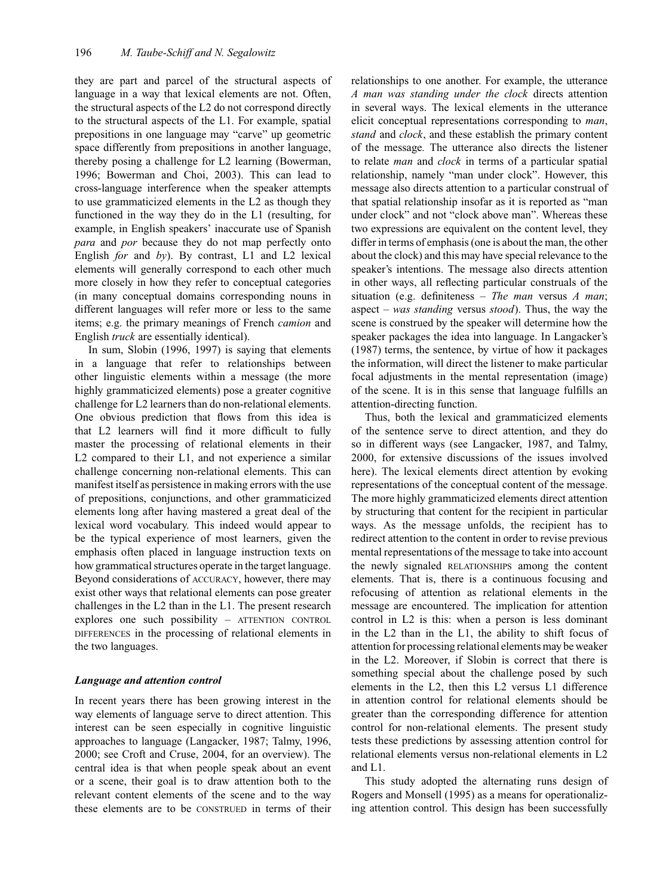they are part and parcel of the structural aspects of language in a way that lexical elements are not. Often, the structural aspects of the L2 do not correspond directly to the structural aspects of the L1. For example, spatial prepositions in one language may "carve" up geometric space differently from prepositions in another language, thereby posing a challenge for L2 learning (Bowerman, 1996; Bowerman and Choi, 2003). This can lead to cross-language interference when the speaker attempts to use grammaticized elements in the L2 as though they functioned in the way they do in the L1 (resulting, for example, in English speakers' inaccurate use of Spanish *para* and *por* because they do not map perfectly onto English *for* and *by*). By contrast, L1 and L2 lexical elements will generally correspond to each other much more closely in how they refer to conceptual categories (in many conceptual domains corresponding nouns in different languages will refer more or less to the same items; e.g. the primary meanings of French *camion* and English *truck* are essentially identical).

In sum, Slobin (1996, 1997) is saying that elements in a language that refer to relationships between other linguistic elements within a message (the more highly grammaticized elements) pose a greater cognitive challenge for L2 learners than do non-relational elements. One obvious prediction that flows from this idea is that L2 learners will find it more difficult to fully master the processing of relational elements in their L2 compared to their L1, and not experience a similar challenge concerning non-relational elements. This can manifest itself as persistence in making errors with the use of prepositions, conjunctions, and other grammaticized elements long after having mastered a great deal of the lexical word vocabulary. This indeed would appear to be the typical experience of most learners, given the emphasis often placed in language instruction texts on how grammatical structures operate in the target language. Beyond considerations of ACCURACY, however, there may exist other ways that relational elements can pose greater challenges in the L2 than in the L1. The present research explores one such possibility – ATTENTION CONTROL DIFFERENCES in the processing of relational elements in the two languages.

## *Language and attention control*

In recent years there has been growing interest in the way elements of language serve to direct attention. This interest can be seen especially in cognitive linguistic approaches to language (Langacker, 1987; Talmy, 1996, 2000; see Croft and Cruse, 2004, for an overview). The central idea is that when people speak about an event or a scene, their goal is to draw attention both to the relevant content elements of the scene and to the way these elements are to be CONSTRUED in terms of their relationships to one another. For example, the utterance *A man was standing under the clock* directs attention in several ways. The lexical elements in the utterance elicit conceptual representations corresponding to *man*, *stand* and *clock*, and these establish the primary content of the message*.* The utterance also directs the listener to relate *man* and *clock* in terms of a particular spatial relationship, namely "man under clock". However, this message also directs attention to a particular construal of that spatial relationship insofar as it is reported as "man under clock" and not "clock above man". Whereas these two expressions are equivalent on the content level, they differ in terms of emphasis (one is about the man, the other about the clock) and this may have special relevance to the speaker's intentions. The message also directs attention in other ways, all reflecting particular construals of the situation (e.g. definiteness – *The man* versus *A man*; aspect – *was standing* versus *stood*). Thus, the way the scene is construed by the speaker will determine how the speaker packages the idea into language. In Langacker's (1987) terms, the sentence, by virtue of how it packages the information, will direct the listener to make particular focal adjustments in the mental representation (image) of the scene. It is in this sense that language fulfills an attention-directing function.

Thus, both the lexical and grammaticized elements of the sentence serve to direct attention, and they do so in different ways (see Langacker, 1987, and Talmy, 2000, for extensive discussions of the issues involved here). The lexical elements direct attention by evoking representations of the conceptual content of the message. The more highly grammaticized elements direct attention by structuring that content for the recipient in particular ways. As the message unfolds, the recipient has to redirect attention to the content in order to revise previous mental representations of the message to take into account the newly signaled RELATIONSHIPS among the content elements. That is, there is a continuous focusing and refocusing of attention as relational elements in the message are encountered. The implication for attention control in L2 is this: when a person is less dominant in the L2 than in the L1, the ability to shift focus of attention for processing relational elements may be weaker in the L2. Moreover, if Slobin is correct that there is something special about the challenge posed by such elements in the L2, then this L2 versus L1 difference in attention control for relational elements should be greater than the corresponding difference for attention control for non-relational elements. The present study tests these predictions by assessing attention control for relational elements versus non-relational elements in L2 and L1.

This study adopted the alternating runs design of Rogers and Monsell (1995) as a means for operationalizing attention control. This design has been successfully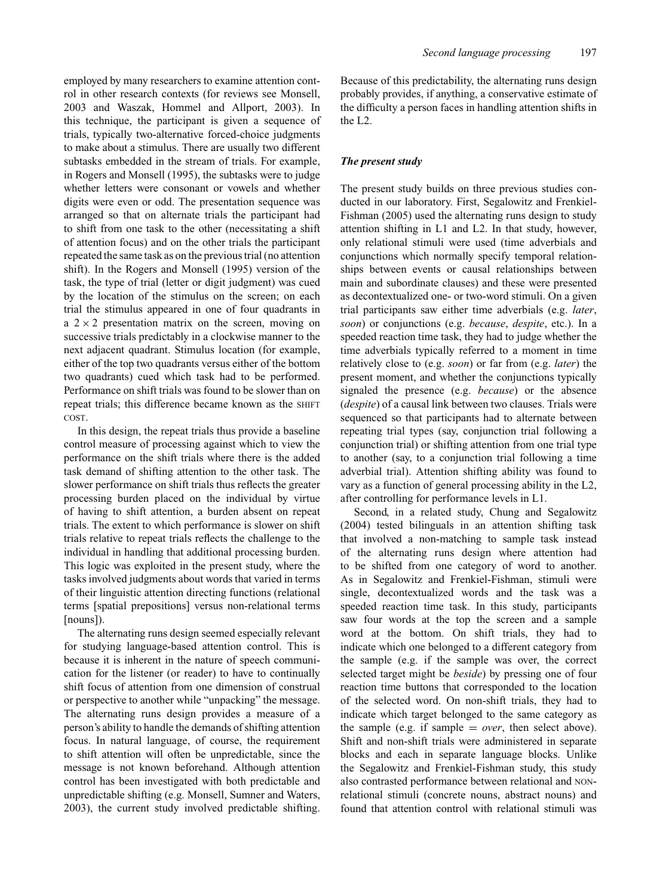employed by many researchers to examine attention control in other research contexts (for reviews see Monsell, 2003 and Waszak, Hommel and Allport, 2003). In this technique, the participant is given a sequence of trials, typically two-alternative forced-choice judgments to make about a stimulus. There are usually two different subtasks embedded in the stream of trials. For example, in Rogers and Monsell (1995), the subtasks were to judge whether letters were consonant or vowels and whether digits were even or odd. The presentation sequence was arranged so that on alternate trials the participant had to shift from one task to the other (necessitating a shift of attention focus) and on the other trials the participant repeated the same task as on the previous trial (no attention shift). In the Rogers and Monsell (1995) version of the task, the type of trial (letter or digit judgment) was cued by the location of the stimulus on the screen; on each trial the stimulus appeared in one of four quadrants in a  $2 \times 2$  presentation matrix on the screen, moving on successive trials predictably in a clockwise manner to the next adjacent quadrant. Stimulus location (for example, either of the top two quadrants versus either of the bottom two quadrants) cued which task had to be performed. Performance on shift trials was found to be slower than on repeat trials; this difference became known as the SHIFT **COST.** 

In this design, the repeat trials thus provide a baseline control measure of processing against which to view the performance on the shift trials where there is the added task demand of shifting attention to the other task. The slower performance on shift trials thus reflects the greater processing burden placed on the individual by virtue of having to shift attention, a burden absent on repeat trials. The extent to which performance is slower on shift trials relative to repeat trials reflects the challenge to the individual in handling that additional processing burden. This logic was exploited in the present study, where the tasks involved judgments about words that varied in terms of their linguistic attention directing functions (relational terms [spatial prepositions] versus non-relational terms [nouns]).

The alternating runs design seemed especially relevant for studying language-based attention control. This is because it is inherent in the nature of speech communication for the listener (or reader) to have to continually shift focus of attention from one dimension of construal or perspective to another while "unpacking" the message. The alternating runs design provides a measure of a person's ability to handle the demands of shifting attention focus. In natural language, of course, the requirement to shift attention will often be unpredictable, since the message is not known beforehand. Although attention control has been investigated with both predictable and unpredictable shifting (e.g. Monsell, Sumner and Waters, 2003), the current study involved predictable shifting.

Because of this predictability, the alternating runs design probably provides, if anything, a conservative estimate of the difficulty a person faces in handling attention shifts in the L2.

## *The present study*

The present study builds on three previous studies conducted in our laboratory. First, Segalowitz and Frenkiel-Fishman (2005) used the alternating runs design to study attention shifting in L1 and L2. In that study, however, only relational stimuli were used (time adverbials and conjunctions which normally specify temporal relationships between events or causal relationships between main and subordinate clauses) and these were presented as decontextualized one- or two-word stimuli. On a given trial participants saw either time adverbials (e.g. *later*, *soon*) or conjunctions (e.g. *because*, *despite*, etc.). In a speeded reaction time task, they had to judge whether the time adverbials typically referred to a moment in time relatively close to (e.g. *soon*) or far from (e.g. *later*) the present moment, and whether the conjunctions typically signaled the presence (e.g. *because*) or the absence (*despite*) of a causal link between two clauses. Trials were sequenced so that participants had to alternate between repeating trial types (say, conjunction trial following a conjunction trial) or shifting attention from one trial type to another (say, to a conjunction trial following a time adverbial trial). Attention shifting ability was found to vary as a function of general processing ability in the L2, after controlling for performance levels in L1.

Second, in a related study, Chung and Segalowitz (2004) tested bilinguals in an attention shifting task that involved a non-matching to sample task instead of the alternating runs design where attention had to be shifted from one category of word to another. As in Segalowitz and Frenkiel-Fishman, stimuli were single, decontextualized words and the task was a speeded reaction time task. In this study, participants saw four words at the top the screen and a sample word at the bottom. On shift trials, they had to indicate which one belonged to a different category from the sample (e.g. if the sample was over, the correct selected target might be *beside*) by pressing one of four reaction time buttons that corresponded to the location of the selected word. On non-shift trials, they had to indicate which target belonged to the same category as the sample (e.g. if sample  $= over$ , then select above). Shift and non-shift trials were administered in separate blocks and each in separate language blocks. Unlike the Segalowitz and Frenkiel-Fishman study, this study also contrasted performance between relational and NONrelational stimuli (concrete nouns, abstract nouns) and found that attention control with relational stimuli was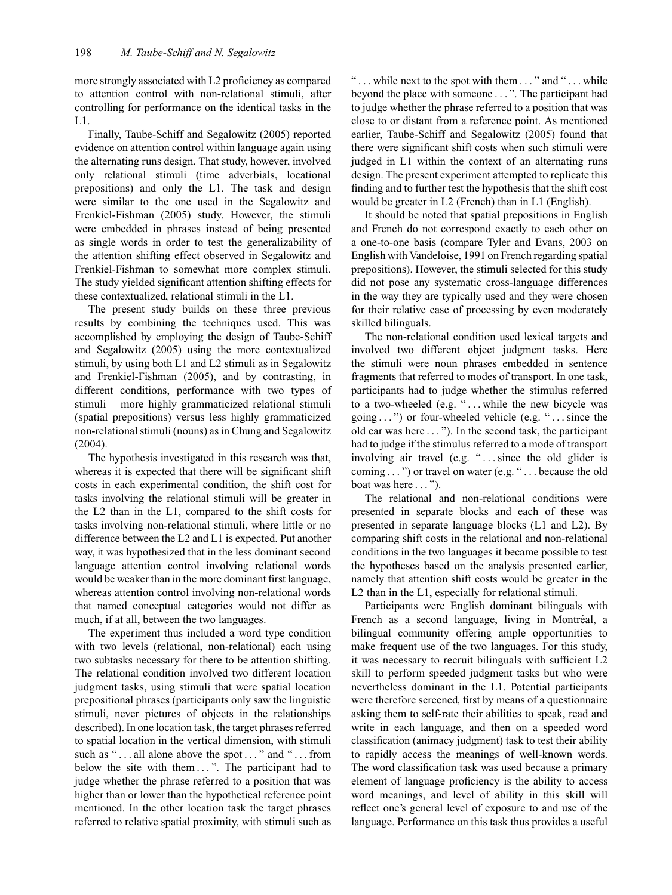more strongly associated with L2 proficiency as compared to attention control with non-relational stimuli, after controlling for performance on the identical tasks in the L1.

Finally, Taube-Schiff and Segalowitz (2005) reported evidence on attention control within language again using the alternating runs design. That study, however, involved only relational stimuli (time adverbials, locational prepositions) and only the L1. The task and design were similar to the one used in the Segalowitz and Frenkiel-Fishman (2005) study. However, the stimuli were embedded in phrases instead of being presented as single words in order to test the generalizability of the attention shifting effect observed in Segalowitz and Frenkiel-Fishman to somewhat more complex stimuli. The study yielded significant attention shifting effects for these contextualized, relational stimuli in the L1.

The present study builds on these three previous results by combining the techniques used. This was accomplished by employing the design of Taube-Schiff and Segalowitz (2005) using the more contextualized stimuli, by using both L1 and L2 stimuli as in Segalowitz and Frenkiel-Fishman (2005), and by contrasting, in different conditions, performance with two types of stimuli – more highly grammaticized relational stimuli (spatial prepositions) versus less highly grammaticized non-relational stimuli (nouns) as in Chung and Segalowitz (2004).

The hypothesis investigated in this research was that, whereas it is expected that there will be significant shift costs in each experimental condition, the shift cost for tasks involving the relational stimuli will be greater in the L2 than in the L1, compared to the shift costs for tasks involving non-relational stimuli, where little or no difference between the L2 and L1 is expected. Put another way, it was hypothesized that in the less dominant second language attention control involving relational words would be weaker than in the more dominant first language, whereas attention control involving non-relational words that named conceptual categories would not differ as much, if at all, between the two languages.

The experiment thus included a word type condition with two levels (relational, non-relational) each using two subtasks necessary for there to be attention shifting. The relational condition involved two different location judgment tasks, using stimuli that were spatial location prepositional phrases (participants only saw the linguistic stimuli, never pictures of objects in the relationships described). In one location task, the target phrases referred to spatial location in the vertical dimension, with stimuli such as "...all alone above the spot..." and "...from below the site with them ...". The participant had to judge whether the phrase referred to a position that was higher than or lower than the hypothetical reference point mentioned. In the other location task the target phrases referred to relative spatial proximity, with stimuli such as

" *...* while next to the spot with them *...* " and " *...* while beyond the place with someone *...* ". The participant had to judge whether the phrase referred to a position that was close to or distant from a reference point. As mentioned earlier, Taube-Schiff and Segalowitz (2005) found that there were significant shift costs when such stimuli were judged in L1 within the context of an alternating runs design. The present experiment attempted to replicate this finding and to further test the hypothesis that the shift cost would be greater in L2 (French) than in L1 (English).

It should be noted that spatial prepositions in English and French do not correspond exactly to each other on a one-to-one basis (compare Tyler and Evans, 2003 on English with Vandeloise, 1991 on French regarding spatial prepositions). However, the stimuli selected for this study did not pose any systematic cross-language differences in the way they are typically used and they were chosen for their relative ease of processing by even moderately skilled bilinguals.

The non-relational condition used lexical targets and involved two different object judgment tasks. Here the stimuli were noun phrases embedded in sentence fragments that referred to modes of transport. In one task, participants had to judge whether the stimulus referred to a two-wheeled (e.g. " *...* while the new bicycle was going *...* ") or four-wheeled vehicle (e.g. " *...*since the old car was here *...* "). In the second task, the participant had to judge if the stimulus referred to a mode of transport involving air travel (e.g. "...since the old glider is coming *...* ") or travel on water (e.g. " *...* because the old boat was here *...* ").

The relational and non-relational conditions were presented in separate blocks and each of these was presented in separate language blocks (L1 and L2). By comparing shift costs in the relational and non-relational conditions in the two languages it became possible to test the hypotheses based on the analysis presented earlier, namely that attention shift costs would be greater in the L<sub>2</sub> than in the L<sub>1</sub>, especially for relational stimuli.

Participants were English dominant bilinguals with French as a second language, living in Montréal, a bilingual community offering ample opportunities to make frequent use of the two languages. For this study, it was necessary to recruit bilinguals with sufficient L2 skill to perform speeded judgment tasks but who were nevertheless dominant in the L1. Potential participants were therefore screened, first by means of a questionnaire asking them to self-rate their abilities to speak, read and write in each language, and then on a speeded word classification (animacy judgment) task to test their ability to rapidly access the meanings of well-known words. The word classification task was used because a primary element of language proficiency is the ability to access word meanings, and level of ability in this skill will reflect one's general level of exposure to and use of the language. Performance on this task thus provides a useful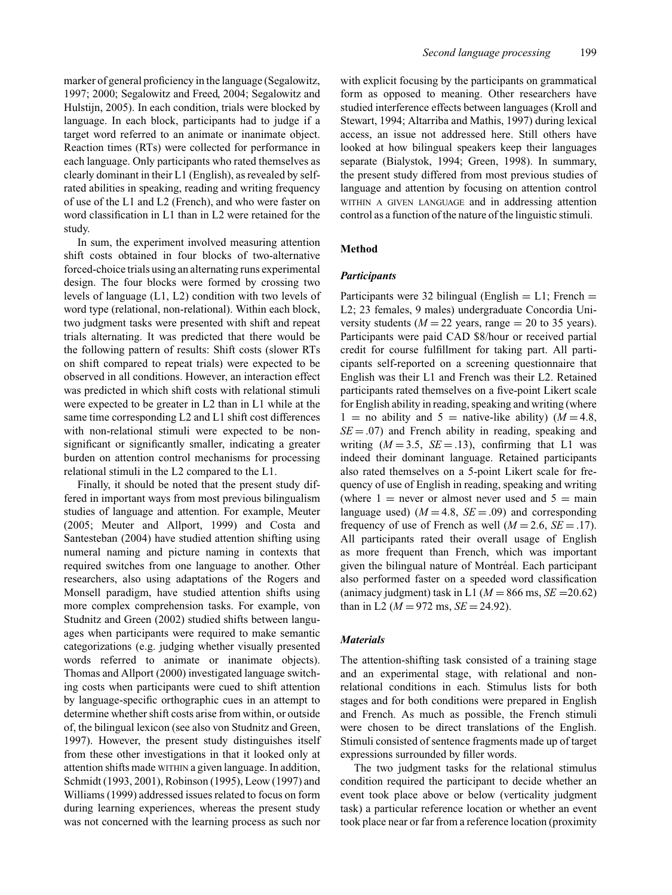marker of general proficiency in the language (Segalowitz, 1997; 2000; Segalowitz and Freed, 2004; Segalowitz and Hulstijn, 2005). In each condition, trials were blocked by language. In each block, participants had to judge if a target word referred to an animate or inanimate object. Reaction times (RTs) were collected for performance in each language. Only participants who rated themselves as clearly dominant in their L1 (English), as revealed by selfrated abilities in speaking, reading and writing frequency of use of the L1 and L2 (French), and who were faster on word classification in L1 than in L2 were retained for the study.

In sum, the experiment involved measuring attention shift costs obtained in four blocks of two-alternative forced-choice trials using an alternating runs experimental design. The four blocks were formed by crossing two levels of language (L1, L2) condition with two levels of word type (relational, non-relational). Within each block, two judgment tasks were presented with shift and repeat trials alternating. It was predicted that there would be the following pattern of results: Shift costs (slower RTs on shift compared to repeat trials) were expected to be observed in all conditions. However, an interaction effect was predicted in which shift costs with relational stimuli were expected to be greater in L2 than in L1 while at the same time corresponding L2 and L1 shift cost differences with non-relational stimuli were expected to be nonsignificant or significantly smaller, indicating a greater burden on attention control mechanisms for processing relational stimuli in the L2 compared to the L1.

Finally, it should be noted that the present study differed in important ways from most previous bilingualism studies of language and attention. For example, Meuter (2005; Meuter and Allport, 1999) and Costa and Santesteban (2004) have studied attention shifting using numeral naming and picture naming in contexts that required switches from one language to another. Other researchers, also using adaptations of the Rogers and Monsell paradigm, have studied attention shifts using more complex comprehension tasks. For example, von Studnitz and Green (2002) studied shifts between languages when participants were required to make semantic categorizations (e.g. judging whether visually presented words referred to animate or inanimate objects). Thomas and Allport (2000) investigated language switching costs when participants were cued to shift attention by language-specific orthographic cues in an attempt to determine whether shift costs arise from within, or outside of, the bilingual lexicon (see also von Studnitz and Green, 1997). However, the present study distinguishes itself from these other investigations in that it looked only at attention shifts made WITHIN a given language. In addition, Schmidt (1993, 2001), Robinson (1995), Leow (1997) and Williams (1999) addressed issues related to focus on form during learning experiences, whereas the present study was not concerned with the learning process as such nor

with explicit focusing by the participants on grammatical form as opposed to meaning. Other researchers have studied interference effects between languages (Kroll and Stewart, 1994; Altarriba and Mathis, 1997) during lexical access, an issue not addressed here. Still others have looked at how bilingual speakers keep their languages separate (Bialystok, 1994; Green, 1998). In summary, the present study differed from most previous studies of language and attention by focusing on attention control WITHIN A GIVEN LANGUAGE and in addressing attention control as a function of the nature of the linguistic stimuli.

# **Method**

#### *Participants*

Participants were 32 bilingual (English  $= L1$ ; French  $=$ L2; 23 females, 9 males) undergraduate Concordia University students ( $M = 22$  years, range  $= 20$  to 35 years). Participants were paid CAD \$8/hour or received partial credit for course fulfillment for taking part. All participants self-reported on a screening questionnaire that English was their L1 and French was their L2. Retained participants rated themselves on a five-point Likert scale for English ability in reading, speaking and writing (where  $1 =$  no ability and  $5 =$  native-like ability)  $(M = 4.8,$  $SE = .07$ ) and French ability in reading, speaking and writing  $(M = 3.5, SE = .13)$ , confirming that L1 was indeed their dominant language. Retained participants also rated themselves on a 5-point Likert scale for frequency of use of English in reading, speaking and writing (where  $1 =$  never or almost never used and  $5 =$  main language used)  $(M = 4.8, SE = .09)$  and corresponding frequency of use of French as well  $(M = 2.6, SE = .17)$ . All participants rated their overall usage of English as more frequent than French, which was important given the bilingual nature of Montréal. Each participant also performed faster on a speeded word classification (animacy judgment) task in L1 ( $M = 866$  ms,  $SE = 20.62$ ) than in L2 ( $M = 972$  ms,  $SE = 24.92$ ).

# *Materials*

The attention-shifting task consisted of a training stage and an experimental stage, with relational and nonrelational conditions in each. Stimulus lists for both stages and for both conditions were prepared in English and French. As much as possible, the French stimuli were chosen to be direct translations of the English. Stimuli consisted of sentence fragments made up of target expressions surrounded by filler words.

The two judgment tasks for the relational stimulus condition required the participant to decide whether an event took place above or below (verticality judgment task) a particular reference location or whether an event took place near or far from a reference location (proximity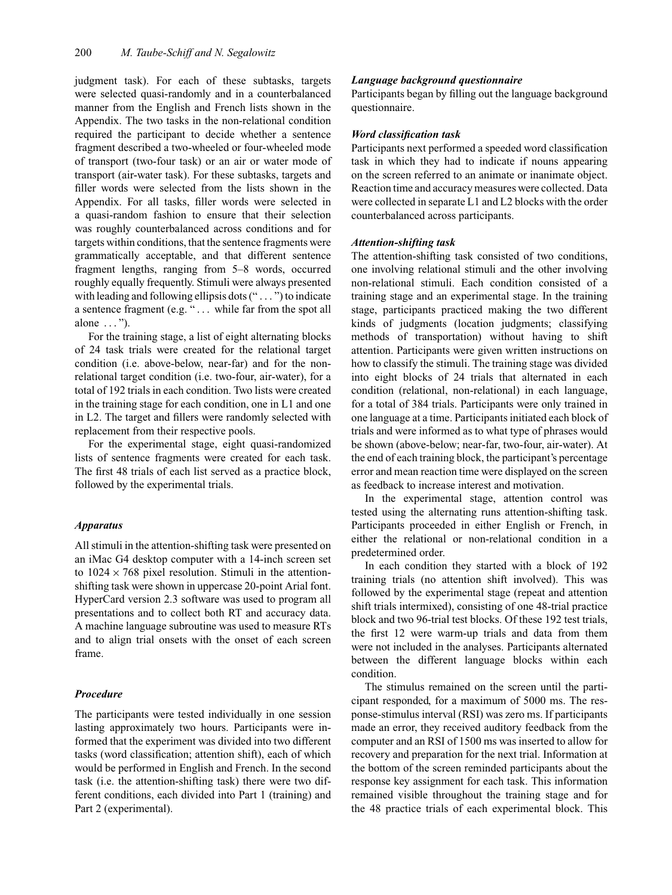judgment task). For each of these subtasks, targets were selected quasi-randomly and in a counterbalanced manner from the English and French lists shown in the Appendix. The two tasks in the non-relational condition required the participant to decide whether a sentence fragment described a two-wheeled or four-wheeled mode of transport (two-four task) or an air or water mode of transport (air-water task). For these subtasks, targets and filler words were selected from the lists shown in the Appendix. For all tasks, filler words were selected in a quasi-random fashion to ensure that their selection was roughly counterbalanced across conditions and for targets within conditions, that the sentence fragments were grammatically acceptable, and that different sentence fragment lengths, ranging from 5–8 words, occurred roughly equally frequently. Stimuli were always presented with leading and following ellipsis dots (" *...* ") to indicate a sentence fragment (e.g. " *...* while far from the spot all alone *...* ").

For the training stage, a list of eight alternating blocks of 24 task trials were created for the relational target condition (i.e. above-below, near-far) and for the nonrelational target condition (i.e. two-four, air-water), for a total of 192 trials in each condition. Two lists were created in the training stage for each condition, one in L1 and one in L2. The target and fillers were randomly selected with replacement from their respective pools.

For the experimental stage, eight quasi-randomized lists of sentence fragments were created for each task. The first 48 trials of each list served as a practice block, followed by the experimental trials.

#### *Apparatus*

All stimuli in the attention-shifting task were presented on an iMac G4 desktop computer with a 14-inch screen set to  $1024 \times 768$  pixel resolution. Stimuli in the attentionshifting task were shown in uppercase 20-point Arial font. HyperCard version 2.3 software was used to program all presentations and to collect both RT and accuracy data. A machine language subroutine was used to measure RTs and to align trial onsets with the onset of each screen frame.

#### *Procedure*

The participants were tested individually in one session lasting approximately two hours. Participants were informed that the experiment was divided into two different tasks (word classification; attention shift), each of which would be performed in English and French. In the second task (i.e. the attention-shifting task) there were two different conditions, each divided into Part 1 (training) and Part 2 (experimental).

#### *Language background questionnaire*

Participants began by filling out the language background questionnaire.

# *Word classification task*

Participants next performed a speeded word classification task in which they had to indicate if nouns appearing on the screen referred to an animate or inanimate object. Reaction time and accuracy measures were collected. Data were collected in separate L1 and L2 blocks with the order counterbalanced across participants.

# *Attention-shifting task*

The attention-shifting task consisted of two conditions, one involving relational stimuli and the other involving non-relational stimuli. Each condition consisted of a training stage and an experimental stage. In the training stage, participants practiced making the two different kinds of judgments (location judgments; classifying methods of transportation) without having to shift attention. Participants were given written instructions on how to classify the stimuli. The training stage was divided into eight blocks of 24 trials that alternated in each condition (relational, non-relational) in each language, for a total of 384 trials. Participants were only trained in one language at a time. Participants initiated each block of trials and were informed as to what type of phrases would be shown (above-below; near-far, two-four, air-water). At the end of each training block, the participant's percentage error and mean reaction time were displayed on the screen as feedback to increase interest and motivation.

In the experimental stage, attention control was tested using the alternating runs attention-shifting task. Participants proceeded in either English or French, in either the relational or non-relational condition in a predetermined order.

In each condition they started with a block of 192 training trials (no attention shift involved). This was followed by the experimental stage (repeat and attention shift trials intermixed), consisting of one 48-trial practice block and two 96-trial test blocks. Of these 192 test trials, the first 12 were warm-up trials and data from them were not included in the analyses. Participants alternated between the different language blocks within each condition.

The stimulus remained on the screen until the participant responded, for a maximum of 5000 ms. The response-stimulus interval (RSI) was zero ms. If participants made an error, they received auditory feedback from the computer and an RSI of 1500 ms was inserted to allow for recovery and preparation for the next trial. Information at the bottom of the screen reminded participants about the response key assignment for each task. This information remained visible throughout the training stage and for the 48 practice trials of each experimental block. This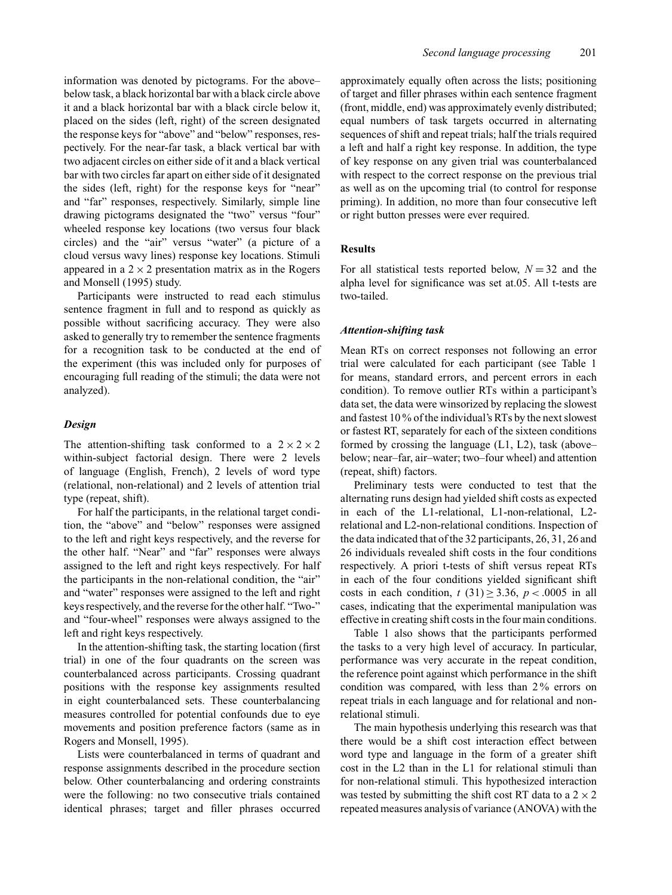information was denoted by pictograms. For the above– below task, a black horizontal bar with a black circle above it and a black horizontal bar with a black circle below it, placed on the sides (left, right) of the screen designated the response keys for "above" and "below" responses, respectively. For the near-far task, a black vertical bar with two adjacent circles on either side of it and a black vertical bar with two circles far apart on either side of it designated the sides (left, right) for the response keys for "near" and "far" responses, respectively. Similarly, simple line drawing pictograms designated the "two" versus "four" wheeled response key locations (two versus four black circles) and the "air" versus "water" (a picture of a cloud versus wavy lines) response key locations. Stimuli appeared in a  $2 \times 2$  presentation matrix as in the Rogers and Monsell (1995) study.

Participants were instructed to read each stimulus sentence fragment in full and to respond as quickly as possible without sacrificing accuracy. They were also asked to generally try to remember the sentence fragments for a recognition task to be conducted at the end of the experiment (this was included only for purposes of encouraging full reading of the stimuli; the data were not analyzed).

#### *Design*

The attention-shifting task conformed to a  $2 \times 2 \times 2$ within-subject factorial design. There were 2 levels of language (English, French), 2 levels of word type (relational, non-relational) and 2 levels of attention trial type (repeat, shift).

For half the participants, in the relational target condition, the "above" and "below" responses were assigned to the left and right keys respectively, and the reverse for the other half. "Near" and "far" responses were always assigned to the left and right keys respectively. For half the participants in the non-relational condition, the "air" and "water" responses were assigned to the left and right keys respectively, and the reverse for the other half. "Two-" and "four-wheel" responses were always assigned to the left and right keys respectively.

In the attention-shifting task, the starting location (first trial) in one of the four quadrants on the screen was counterbalanced across participants. Crossing quadrant positions with the response key assignments resulted in eight counterbalanced sets. These counterbalancing measures controlled for potential confounds due to eye movements and position preference factors (same as in Rogers and Monsell, 1995).

Lists were counterbalanced in terms of quadrant and response assignments described in the procedure section below. Other counterbalancing and ordering constraints were the following: no two consecutive trials contained identical phrases; target and filler phrases occurred

approximately equally often across the lists; positioning of target and filler phrases within each sentence fragment (front, middle, end) was approximately evenly distributed; equal numbers of task targets occurred in alternating sequences of shift and repeat trials; half the trials required a left and half a right key response. In addition, the type of key response on any given trial was counterbalanced with respect to the correct response on the previous trial as well as on the upcoming trial (to control for response priming). In addition, no more than four consecutive left or right button presses were ever required.

# **Results**

For all statistical tests reported below,  $N = 32$  and the alpha level for significance was set at.05. All t-tests are two-tailed.

#### *Attention-shifting task*

Mean RTs on correct responses not following an error trial were calculated for each participant (see Table 1 for means, standard errors, and percent errors in each condition). To remove outlier RTs within a participant's data set, the data were winsorized by replacing the slowest and fastest 10 % of the individual's RTs by the next slowest or fastest RT, separately for each of the sixteen conditions formed by crossing the language (L1, L2), task (above– below; near–far, air–water; two–four wheel) and attention (repeat, shift) factors.

Preliminary tests were conducted to test that the alternating runs design had yielded shift costs as expected in each of the L1-relational, L1-non-relational, L2 relational and L2-non-relational conditions. Inspection of the data indicated that of the 32 participants, 26, 31, 26 and 26 individuals revealed shift costs in the four conditions respectively. A priori t-tests of shift versus repeat RTs in each of the four conditions yielded significant shift costs in each condition,  $t(31) > 3.36$ ,  $p < .0005$  in all cases, indicating that the experimental manipulation was effective in creating shift costs in the four main conditions.

Table 1 also shows that the participants performed the tasks to a very high level of accuracy. In particular, performance was very accurate in the repeat condition, the reference point against which performance in the shift condition was compared, with less than 2 % errors on repeat trials in each language and for relational and nonrelational stimuli.

The main hypothesis underlying this research was that there would be a shift cost interaction effect between word type and language in the form of a greater shift cost in the L2 than in the L1 for relational stimuli than for non-relational stimuli. This hypothesized interaction was tested by submitting the shift cost RT data to a  $2 \times 2$ repeated measures analysis of variance (ANOVA) with the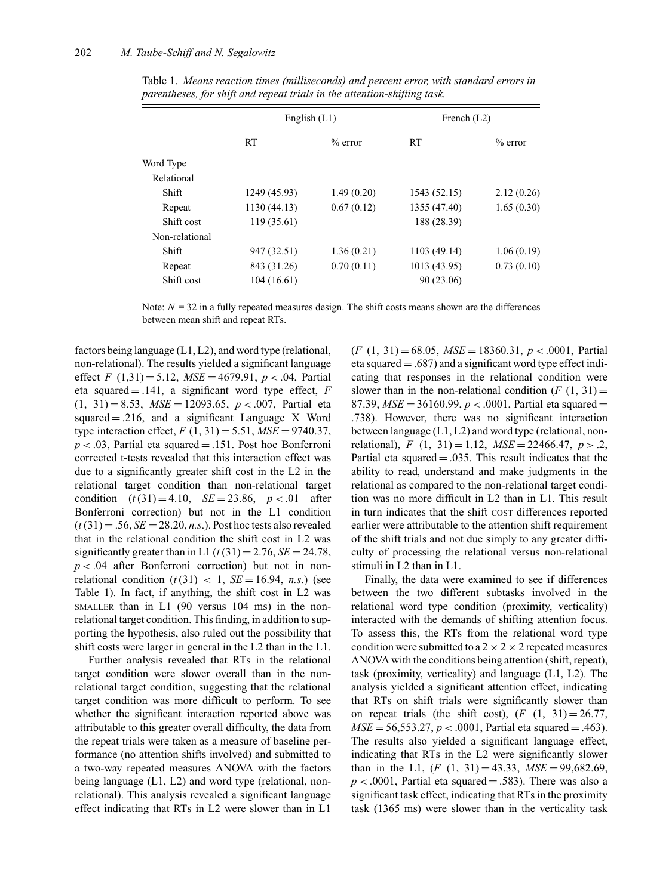|                | English $(L1)$ |            | French $(L2)$ |            |
|----------------|----------------|------------|---------------|------------|
|                | <b>RT</b>      | $\%$ error | RT            | $%$ error  |
| Word Type      |                |            |               |            |
| Relational     |                |            |               |            |
| Shift          | 1249 (45.93)   | 1.49(0.20) | 1543 (52.15)  | 2.12(0.26) |
| Repeat         | 1130 (44.13)   | 0.67(0.12) | 1355 (47.40)  | 1.65(0.30) |
| Shift cost     | 119(35.61)     |            | 188 (28.39)   |            |
| Non-relational |                |            |               |            |
| Shift          | 947 (32.51)    | 1.36(0.21) | 1103 (49.14)  | 1.06(0.19) |
| Repeat         | 843 (31.26)    | 0.70(0.11) | 1013 (43.95)  | 0.73(0.10) |
| Shift cost     | 104(16.61)     |            | 90 (23.06)    |            |

Table 1. *Means reaction times (milliseconds) and percent error, with standard errors in parentheses, for shift and repeat trials in the attention-shifting task.*

Note:  $N = 32$  in a fully repeated measures design. The shift costs means shown are the differences between mean shift and repeat RTs.

factors being language (L1, L2), and word type (relational, non-relational). The results yielded a significant language effect *F*  $(1,31) = 5.12$ , *MSE* = 4679.91, *p* < .04, Partial eta squared = .141, a significant word type effect, *F*  $(1, 31) = 8.53$ ,  $MSE = 12093.65$ ,  $p < .007$ , Partial eta squared  $= .216$ , and a significant Language X Word type interaction effect, *F* (1, 31) = 5.51, *MSE* = 9740.37,  $p < .03$ , Partial eta squared = .151. Post hoc Bonferroni corrected t-tests revealed that this interaction effect was due to a significantly greater shift cost in the L2 in the relational target condition than non-relational target condition  $(t(31) = 4.10, \quad SE = 23.86, \quad p < .01$  after Bonferroni correction) but not in the L1 condition  $(t(31) = .56, SE = 28.20, n.s.).$  Post hoc tests also revealed that in the relational condition the shift cost in L2 was significantly greater than in L1  $(t(31) = 2.76, SE = 24.78,$  $p < .04$  after Bonferroni correction) but not in nonrelational condition  $(t(31) < 1, SE = 16.94, n.s.)$  (see Table 1). In fact, if anything, the shift cost in L2 was SMALLER than in L1 (90 versus 104 ms) in the nonrelational target condition. This finding, in addition to supporting the hypothesis, also ruled out the possibility that shift costs were larger in general in the L2 than in the L1.

Further analysis revealed that RTs in the relational target condition were slower overall than in the nonrelational target condition, suggesting that the relational target condition was more difficult to perform. To see whether the significant interaction reported above was attributable to this greater overall difficulty, the data from the repeat trials were taken as a measure of baseline performance (no attention shifts involved) and submitted to a two-way repeated measures ANOVA with the factors being language (L1, L2) and word type (relational, nonrelational). This analysis revealed a significant language effect indicating that RTs in L2 were slower than in L1

 $(F (1, 31) = 68.05, MSE = 18360.31, p < .0001$ , Partial eta squared  $= .687$ ) and a significant word type effect indicating that responses in the relational condition were slower than in the non-relational condition  $(F(1, 31)) =$ 87.39, *MSE* = 36160.99, *p <* .0001, Partial eta squared = .738). However, there was no significant interaction between language (L1, L2) and word type (relational, nonrelational),  $F(1, 31) = 1.12$ ,  $MSE = 22466.47$ ,  $p > .2$ , Partial eta squared  $= .035$ . This result indicates that the ability to read, understand and make judgments in the relational as compared to the non-relational target condition was no more difficult in L2 than in L1. This result in turn indicates that the shift COST differences reported earlier were attributable to the attention shift requirement of the shift trials and not due simply to any greater difficulty of processing the relational versus non-relational stimuli in L2 than in L1.

Finally, the data were examined to see if differences between the two different subtasks involved in the relational word type condition (proximity, verticality) interacted with the demands of shifting attention focus. To assess this, the RTs from the relational word type condition were submitted to a  $2 \times 2 \times 2$  repeated measures ANOVA with the conditions being attention (shift, repeat), task (proximity, verticality) and language (L1, L2). The analysis yielded a significant attention effect, indicating that RTs on shift trials were significantly slower than on repeat trials (the shift cost),  $(F (1, 31) = 26.77$ ,  $MSE = 56,553.27, p < .0001$ , Partial eta squared = .463). The results also yielded a significant language effect, indicating that RTs in the L2 were significantly slower than in the L1,  $(F (1, 31) = 43.33, MSE = 99,682.69,$  $p < .0001$ , Partial eta squared = .583). There was also a significant task effect, indicating that RTs in the proximity task (1365 ms) were slower than in the verticality task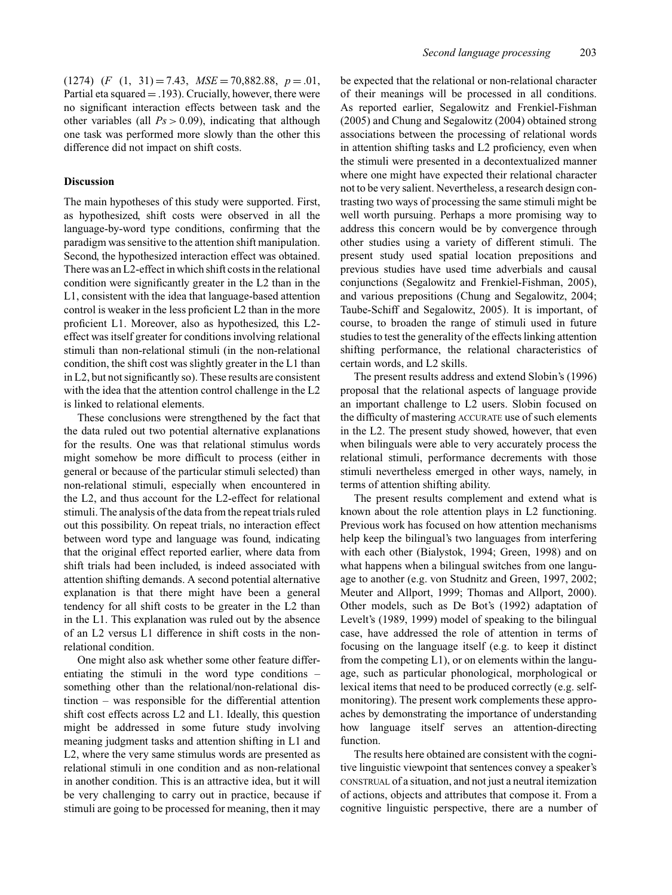$(1274)$   $(F (1, 31) = 7.43, MSE = 70,882.88, p = .01,$ Partial eta squared = .193). Crucially, however, there were no significant interaction effects between task and the other variables (all  $Ps > 0.09$ ), indicating that although one task was performed more slowly than the other this difference did not impact on shift costs.

#### **Discussion**

The main hypotheses of this study were supported. First, as hypothesized, shift costs were observed in all the language-by-word type conditions, confirming that the paradigm was sensitive to the attention shift manipulation. Second, the hypothesized interaction effect was obtained. There was an L2-effect in which shift costs in the relational condition were significantly greater in the L2 than in the L1, consistent with the idea that language-based attention control is weaker in the less proficient L2 than in the more proficient L1. Moreover, also as hypothesized, this L2 effect was itself greater for conditions involving relational stimuli than non-relational stimuli (in the non-relational condition, the shift cost was slightly greater in the L1 than in L2, but not significantly so). These results are consistent with the idea that the attention control challenge in the L2 is linked to relational elements.

These conclusions were strengthened by the fact that the data ruled out two potential alternative explanations for the results. One was that relational stimulus words might somehow be more difficult to process (either in general or because of the particular stimuli selected) than non-relational stimuli, especially when encountered in the L2, and thus account for the L2-effect for relational stimuli. The analysis of the data from the repeat trials ruled out this possibility. On repeat trials, no interaction effect between word type and language was found, indicating that the original effect reported earlier, where data from shift trials had been included, is indeed associated with attention shifting demands. A second potential alternative explanation is that there might have been a general tendency for all shift costs to be greater in the L2 than in the L1. This explanation was ruled out by the absence of an L2 versus L1 difference in shift costs in the nonrelational condition.

One might also ask whether some other feature differentiating the stimuli in the word type conditions – something other than the relational/non-relational distinction – was responsible for the differential attention shift cost effects across L2 and L1. Ideally, this question might be addressed in some future study involving meaning judgment tasks and attention shifting in L1 and L2, where the very same stimulus words are presented as relational stimuli in one condition and as non-relational in another condition. This is an attractive idea, but it will be very challenging to carry out in practice, because if stimuli are going to be processed for meaning, then it may

be expected that the relational or non-relational character of their meanings will be processed in all conditions. As reported earlier, Segalowitz and Frenkiel-Fishman (2005) and Chung and Segalowitz (2004) obtained strong associations between the processing of relational words in attention shifting tasks and L2 proficiency, even when the stimuli were presented in a decontextualized manner where one might have expected their relational character not to be very salient. Nevertheless, a research design contrasting two ways of processing the same stimuli might be well worth pursuing. Perhaps a more promising way to address this concern would be by convergence through other studies using a variety of different stimuli. The present study used spatial location prepositions and previous studies have used time adverbials and causal conjunctions (Segalowitz and Frenkiel-Fishman, 2005), and various prepositions (Chung and Segalowitz, 2004; Taube-Schiff and Segalowitz, 2005). It is important, of course, to broaden the range of stimuli used in future studies to test the generality of the effects linking attention shifting performance, the relational characteristics of certain words, and L2 skills.

The present results address and extend Slobin's (1996) proposal that the relational aspects of language provide an important challenge to L2 users. Slobin focused on the difficulty of mastering ACCURATE use of such elements in the L2. The present study showed, however, that even when bilinguals were able to very accurately process the relational stimuli, performance decrements with those stimuli nevertheless emerged in other ways, namely, in terms of attention shifting ability.

The present results complement and extend what is known about the role attention plays in L2 functioning. Previous work has focused on how attention mechanisms help keep the bilingual's two languages from interfering with each other (Bialystok, 1994; Green, 1998) and on what happens when a bilingual switches from one language to another (e.g. von Studnitz and Green, 1997, 2002; Meuter and Allport, 1999; Thomas and Allport, 2000). Other models, such as De Bot's (1992) adaptation of Levelt's (1989, 1999) model of speaking to the bilingual case, have addressed the role of attention in terms of focusing on the language itself (e.g. to keep it distinct from the competing L1), or on elements within the language, such as particular phonological, morphological or lexical items that need to be produced correctly (e.g. selfmonitoring). The present work complements these approaches by demonstrating the importance of understanding how language itself serves an attention-directing function.

The results here obtained are consistent with the cognitive linguistic viewpoint that sentences convey a speaker's CONSTRUAL of a situation, and not just a neutral itemization of actions, objects and attributes that compose it. From a cognitive linguistic perspective, there are a number of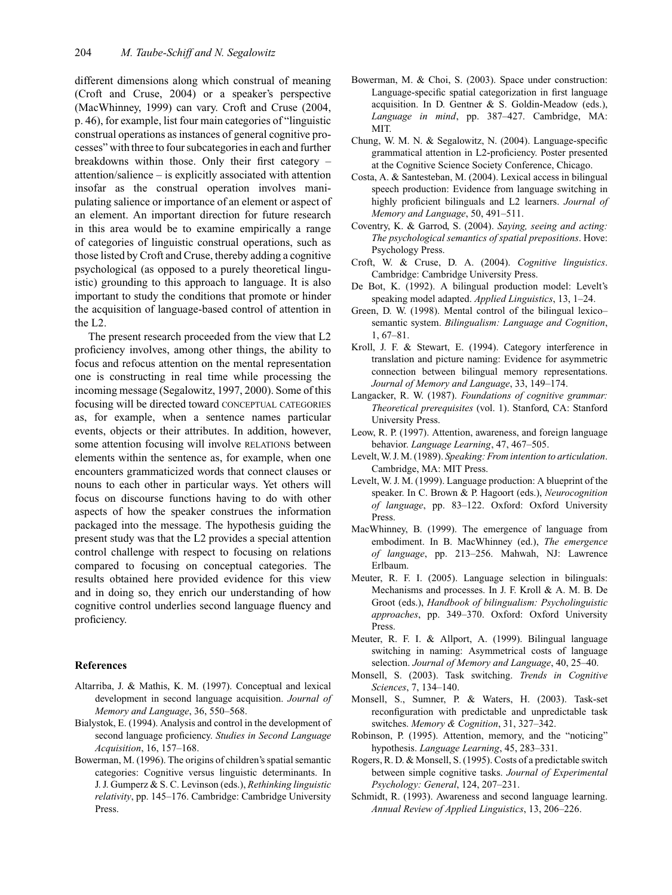different dimensions along which construal of meaning (Croft and Cruse, 2004) or a speaker's perspective (MacWhinney, 1999) can vary. Croft and Cruse (2004, p. 46), for example, list four main categories of "linguistic construal operations as instances of general cognitive processes" with three to four subcategories in each and further breakdowns within those. Only their first category – attention/salience – is explicitly associated with attention insofar as the construal operation involves manipulating salience or importance of an element or aspect of an element. An important direction for future research in this area would be to examine empirically a range of categories of linguistic construal operations, such as those listed by Croft and Cruse, thereby adding a cognitive psychological (as opposed to a purely theoretical linguistic) grounding to this approach to language. It is also important to study the conditions that promote or hinder the acquisition of language-based control of attention in the L2.

The present research proceeded from the view that L2 proficiency involves, among other things, the ability to focus and refocus attention on the mental representation one is constructing in real time while processing the incoming message (Segalowitz, 1997, 2000). Some of this focusing will be directed toward CONCEPTUAL CATEGORIES as, for example, when a sentence names particular events, objects or their attributes. In addition, however, some attention focusing will involve RELATIONS between elements within the sentence as, for example, when one encounters grammaticized words that connect clauses or nouns to each other in particular ways. Yet others will focus on discourse functions having to do with other aspects of how the speaker construes the information packaged into the message. The hypothesis guiding the present study was that the L2 provides a special attention control challenge with respect to focusing on relations compared to focusing on conceptual categories. The results obtained here provided evidence for this view and in doing so, they enrich our understanding of how cognitive control underlies second language fluency and proficiency.

#### **References**

- Altarriba, J. & Mathis, K. M. (1997). Conceptual and lexical development in second language acquisition. *Journal of Memory and Language*, 36, 550–568.
- Bialystok, E. (1994). Analysis and control in the development of second language proficiency. *Studies in Second Language Acquisition*, 16, 157–168.
- Bowerman, M. (1996). The origins of children's spatial semantic categories: Cognitive versus linguistic determinants. In J. J. Gumperz & S. C. Levinson (eds.), *Rethinking linguistic relativity*, pp. 145–176. Cambridge: Cambridge University Press.
- Bowerman, M. & Choi, S. (2003). Space under construction: Language-specific spatial categorization in first language acquisition. In D. Gentner & S. Goldin-Meadow (eds.), *Language in mind*, pp. 387–427. Cambridge, MA: MIT.
- Chung, W. M. N. & Segalowitz, N. (2004). Language-specific grammatical attention in L2-proficiency. Poster presented at the Cognitive Science Society Conference, Chicago.
- Costa, A. & Santesteban, M. (2004). Lexical access in bilingual speech production: Evidence from language switching in highly proficient bilinguals and L2 learners. *Journal of Memory and Language*, 50, 491–511.
- Coventry, K. & Garrod, S. (2004). *Saying, seeing and acting: The psychological semantics of spatial prepositions*. Hove: Psychology Press.
- Croft, W. & Cruse, D. A. (2004). *Cognitive linguistics*. Cambridge: Cambridge University Press.
- De Bot, K. (1992). A bilingual production model: Levelt's speaking model adapted. *Applied Linguistics*, 13, 1–24.
- Green, D. W. (1998). Mental control of the bilingual lexico– semantic system. *Bilingualism: Language and Cognition*, 1, 67–81.
- Kroll, J. F. & Stewart, E. (1994). Category interference in translation and picture naming: Evidence for asymmetric connection between bilingual memory representations. *Journal of Memory and Language*, 33, 149–174.
- Langacker, R. W. (1987). *Foundations of cognitive grammar: Theoretical prerequisites* (vol. 1). Stanford, CA: Stanford University Press.
- Leow, R. P. (1997). Attention, awareness, and foreign language behavior. *Language Learning*, 47, 467–505.
- Levelt, W. J. M. (1989). *Speaking: From intention to articulation*. Cambridge, MA: MIT Press.
- Levelt, W. J. M. (1999). Language production: A blueprint of the speaker. In C. Brown & P. Hagoort (eds.), *Neurocognition of language*, pp. 83–122. Oxford: Oxford University Press.
- MacWhinney, B. (1999). The emergence of language from embodiment. In B. MacWhinney (ed.), *The emergence of language*, pp. 213–256. Mahwah, NJ: Lawrence Erlbaum.
- Meuter, R. F. I. (2005). Language selection in bilinguals: Mechanisms and processes. In J. F. Kroll & A. M. B. De Groot (eds.), *Handbook of bilingualism: Psycholinguistic approaches*, pp. 349–370. Oxford: Oxford University Press.
- Meuter, R. F. I. & Allport, A. (1999). Bilingual language switching in naming: Asymmetrical costs of language selection. *Journal of Memory and Language*, 40, 25–40.
- Monsell, S. (2003). Task switching. *Trends in Cognitive Sciences*, 7, 134–140.
- Monsell, S., Sumner, P. & Waters, H. (2003). Task-set reconfiguration with predictable and unpredictable task switches. *Memory & Cognition*, 31, 327–342.
- Robinson, P. (1995). Attention, memory, and the "noticing" hypothesis. *Language Learning*, 45, 283–331.
- Rogers, R. D. & Monsell, S. (1995). Costs of a predictable switch between simple cognitive tasks. *Journal of Experimental Psychology: General*, 124, 207–231.
- Schmidt, R. (1993). Awareness and second language learning. *Annual Review of Applied Linguistics*, 13, 206–226.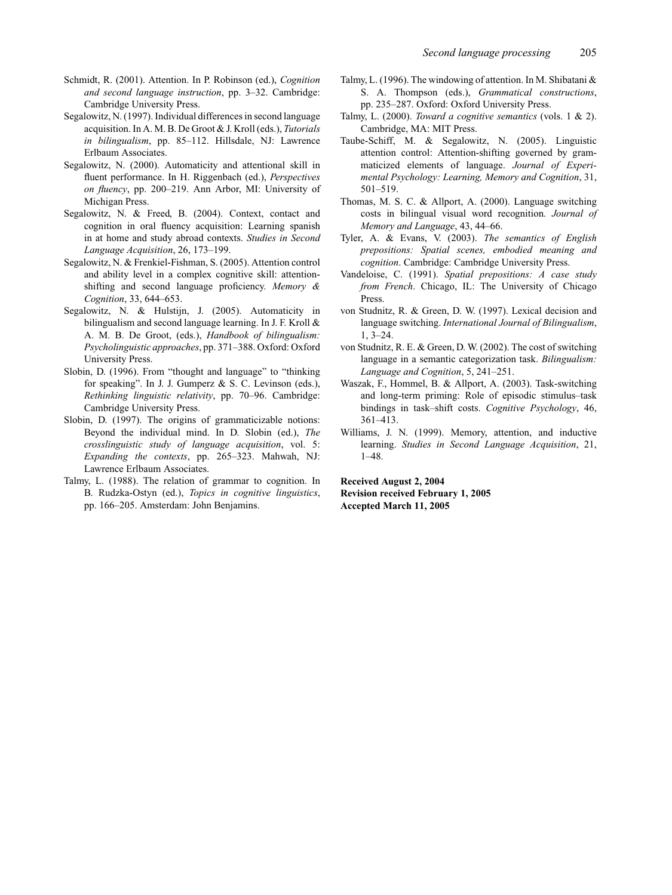- Schmidt, R. (2001). Attention. In P. Robinson (ed.), *Cognition and second language instruction*, pp. 3–32. Cambridge: Cambridge University Press.
- Segalowitz, N. (1997). Individual differences in second language acquisition. In A. M. B. De Groot & J. Kroll (eds.), *Tutorials in bilingualism*, pp. 85–112. Hillsdale, NJ: Lawrence Erlbaum Associates.
- Segalowitz, N. (2000). Automaticity and attentional skill in fluent performance. In H. Riggenbach (ed.), *Perspectives on fluency*, pp. 200–219. Ann Arbor, MI: University of Michigan Press.
- Segalowitz, N. & Freed, B. (2004). Context, contact and cognition in oral fluency acquisition: Learning spanish in at home and study abroad contexts. *Studies in Second Language Acquisition*, 26, 173–199.
- Segalowitz, N. & Frenkiel-Fishman, S. (2005). Attention control and ability level in a complex cognitive skill: attentionshifting and second language proficiency. *Memory & Cognition*, 33, 644–653.
- Segalowitz, N. & Hulstijn, J. (2005). Automaticity in bilingualism and second language learning. In J. F. Kroll & A. M. B. De Groot, (eds.), *Handbook of bilingualism: Psycholinguistic approaches*, pp. 371–388. Oxford: Oxford University Press.
- Slobin, D. (1996). From "thought and language" to "thinking for speaking". In J. J. Gumperz & S. C. Levinson (eds.), *Rethinking linguistic relativity*, pp. 70–96. Cambridge: Cambridge University Press.
- Slobin, D. (1997). The origins of grammaticizable notions: Beyond the individual mind. In D. Slobin (ed.), *The crosslinguistic study of language acquisition*, vol. 5: *Expanding the contexts*, pp. 265–323. Mahwah, NJ: Lawrence Erlbaum Associates.
- Talmy, L. (1988). The relation of grammar to cognition. In B. Rudzka-Ostyn (ed.), *Topics in cognitive linguistics*, pp. 166–205. Amsterdam: John Benjamins.
- Talmy, L. (1996). The windowing of attention. In M. Shibatani & S. A. Thompson (eds.), *Grammatical constructions*, pp. 235–287. Oxford: Oxford University Press.
- Talmy, L. (2000). *Toward a cognitive semantics* (vols. 1 & 2). Cambridge, MA: MIT Press.
- Taube-Schiff, M. & Segalowitz, N. (2005). Linguistic attention control: Attention-shifting governed by grammaticized elements of language. *Journal of Experimental Psychology: Learning, Memory and Cognition*, 31, 501–519.
- Thomas, M. S. C. & Allport, A. (2000). Language switching costs in bilingual visual word recognition. *Journal of Memory and Language*, 43, 44–66.
- Tyler, A. & Evans, V. (2003). *The semantics of English prepositions: Spatial scenes, embodied meaning and cognition*. Cambridge: Cambridge University Press.
- Vandeloise, C. (1991). *Spatial prepositions: A case study from French*. Chicago, IL: The University of Chicago Press.
- von Studnitz, R. & Green, D. W. (1997). Lexical decision and language switching. *International Journal of Bilingualism*, 1, 3–24.
- von Studnitz, R. E. & Green, D. W. (2002). The cost of switching language in a semantic categorization task. *Bilingualism: Language and Cognition*, 5, 241–251.
- Waszak, F., Hommel, B. & Allport, A. (2003). Task-switching and long-term priming: Role of episodic stimulus–task bindings in task–shift costs. *Cognitive Psychology*, 46, 361–413.
- Williams, J. N. (1999). Memory, attention, and inductive learning. *Studies in Second Language Acquisition*, 21, 1–48.

**Received August 2, 2004 Revision received February 1, 2005 Accepted March 11, 2005**